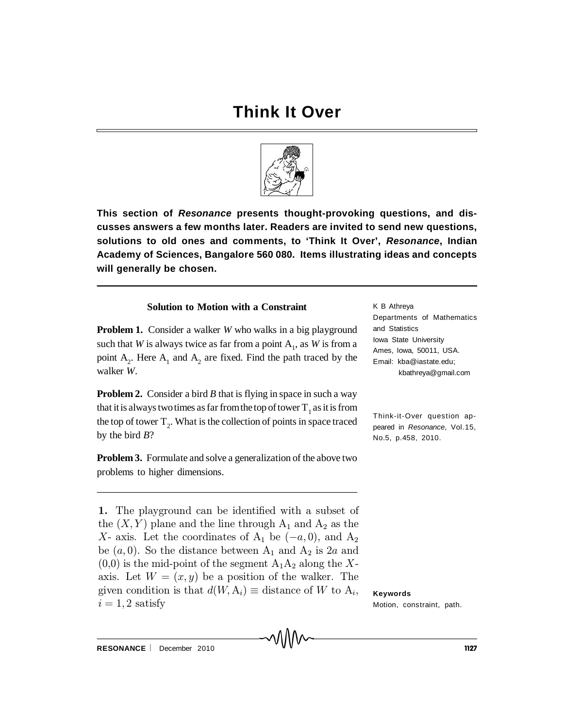

**This section of** *Resonance* **presents thought-provoking questions, and discusses answers a few months later. Readers are invited to send new questions, solutions to old ones and comments, to 'Think It Over',** *Resonance***, Indian Academy of Sciences, Bangalore 560 080. Items illustrating ideas and concepts will generally be chosen.**

## **Solution to Motion with a Constraint**

**Problem 1.** Consider a walker *W* who walks in a big playground such that *W* is always twice as far from a point  $A_1$ , as *W* is from a point  $A_2$ . Here  $A_1$  and  $A_2$  are fixed. Find the path traced by the walker *W*.

**Problem 2.** Consider a bird *B* that is flying in space in such a way that it is always two times as far from the top of tower  $T_1$  as it is from the top of tower  $T_2$ . What is the collection of points in space traced by the bird *B*?

**Problem 3.** Formulate and solve a generalization of the above two problems to higher dimensions.

1. The playground can be identified with a subset of the  $(X, Y)$  plane and the line through  $A_1$  and  $A_2$  as the X- axis. Let the coordinates of  $A_1$  be  $(-a, 0)$ , and  $A_2$ be  $(a, 0)$ . So the distance between  $A_1$  and  $A_2$  is 2a and  $(0,0)$  is the mid-point of the segment  $A_1A_2$  along the Xaxis. Let  $W = (x, y)$  be a position of the walker. The given condition is that  $d(W, A_i) \equiv$  distance of W to  $A_i$ ,  $i = 1, 2$  satisfy

K B Athreya Departments of Mathematics and Statistics Iowa State University Ames, Iowa, 50011, USA. Email: kba@iastate.edu; kbathreya@gmail.com

Think-it-Over question appeared in *Resonance*, Vol.15, No.5, p.458, 2010.

**Keywords** Motion, constraint, path.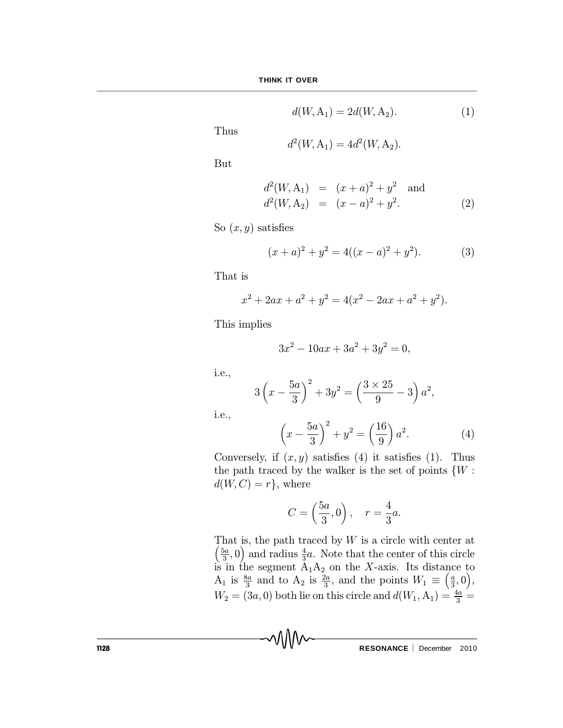$$
d(W, A_1) = 2d(W, A_2).
$$
 (1)

Thus

$$
d^2(W, A_1) = 4d^2(W, A_2).
$$

But

$$
d^{2}(W, A_{1}) = (x+a)^{2} + y^{2} \text{ and}
$$
  

$$
d^{2}(W, A_{2}) = (x-a)^{2} + y^{2}.
$$
 (2)

So  $(x, y)$  satisfies

$$
(x+a)2 + y2 = 4((x-a)2 + y2).
$$
 (3)

That is

$$
x^{2} + 2ax + a^{2} + y^{2} = 4(x^{2} - 2ax + a^{2} + y^{2}).
$$

This implies

$$
3x^2 - 10ax + 3a^2 + 3y^2 = 0,
$$

i.e.,

i.e.,

$$
3\left(x - \frac{5a}{3}\right)^2 + 3y^2 = \left(\frac{3 \times 25}{9} - 3\right)a^2,
$$

$$
\left(x - \frac{5a}{3}\right)^2 + y^2 = \left(\frac{16}{9}\right)a^2.
$$
 (4)

Conversely, if  $(x, y)$  satisfies (4) it satisfies (1). Thus the path traced by the walker is the set of points  $\{W:$  $d(W, C) = r$ , where

$$
C = \left(\frac{5a}{3}, 0\right), \quad r = \frac{4}{3}a.
$$

T hat is, the path traced by W is a circle with center at  $\int$  5a  $\left(\frac{5a}{3},0\right)$  and radius  $\frac{4}{3}$  $\frac{4}{3}a$ . Note that the center of this circle is in the segment  $A_1A_2$  on the X-axis. Its distance to  $A_1$  is  $\frac{8a}{3}$  $\frac{3a}{3}$  and to  $A_2$  is  $\frac{2a}{3}$  $\frac{2a}{3}$ , and the points  $W_1 \equiv \left(\frac{a}{3}\right)$  $\frac{a}{3}$ , 0),  $W_2 = (3a, 0)$  both lie on this circle and  $d(W_1, A_1) = \frac{4a}{3} =$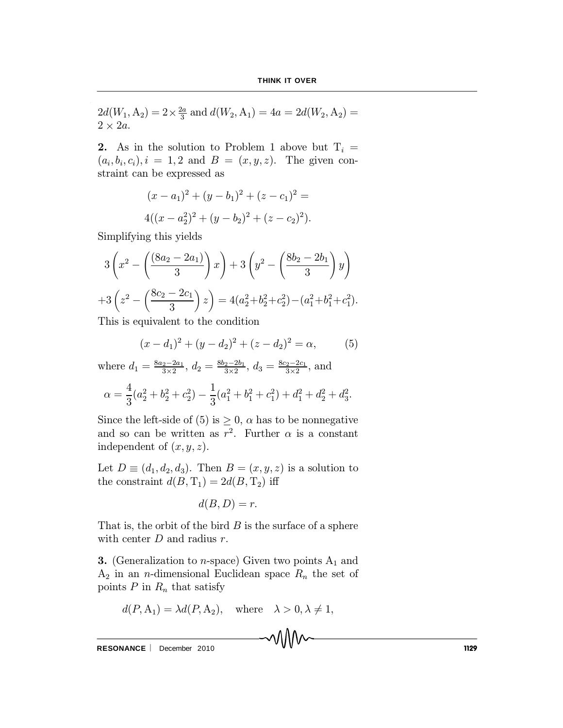$$
2d(W_1, A_2) = 2 \times \frac{2a}{3}
$$
 and  $d(W_2, A_1) = 4a = 2d(W_2, A_2) = 2 \times 2a$ .

2. As in the solution to Problem 1 above but  $T_i =$  $(a_i, b_i, c_i), i = 1, 2 \text{ and } B = (x, y, z).$  The given constraint can be expressed as

$$
(x - a1)2 + (y - b1)2 + (z - c1)2 =
$$
  
4
$$
(x - a22)2 + (y - b2)2 + (z - c2)2).
$$

Simplifying this yields

$$
3\left(x^2 - \left(\frac{(8a_2 - 2a_1)}{3}\right)x\right) + 3\left(y^2 - \left(\frac{8b_2 - 2b_1}{3}\right)y\right)
$$

$$
+ 3\left(z^2 - \left(\frac{8c_2 - 2c_1}{3}\right)z\right) = 4(a_2^2 + b_2^2 + c_2^2) - (a_1^2 + b_1^2 + c_1^2).
$$

This is equivalent to the condition

$$
(x - d_1)^2 + (y - d_2)^2 + (z - d_2)^2 = \alpha,
$$
 (5)

where  $d_1 = \frac{8a_2 - 2a_1}{3 \times 2}$ ,  $d_2 = \frac{8b_2 - 2b_1}{3 \times 2}$ ,  $d_3 = \frac{8c_2 - 2c_1}{3 \times 2}$ , and

$$
\alpha = \frac{4}{3}(a_2^2 + b_2^2 + c_2^2) - \frac{1}{3}(a_1^2 + b_1^2 + c_1^2) + d_1^2 + d_2^2 + d_3^2.
$$

Since the left-side of (5) is  $\geq 0$ ,  $\alpha$  has to be nonnegative and so can be written as  $r^2$ . Further  $\alpha$  is a constant independent of  $(x, y, z)$ .

Let  $D \equiv (d_1, d_2, d_3)$ . Then  $B = (x, y, z)$  is a solution to the constraint  $d(B, T_1) = 2d(B, T_2)$  iff

$$
d(B,D)=r.
$$

That is, the orbit of the bird  $B$  is the surface of a sphere with center  $D$  and radius  $r$ .

**3.** (Generalization to *n*-space) Given two points  $A_1$  and  $A_2$  in an *n*-dimensional Euclidean space  $R_n$  the set of points  $P$  in  $R_n$  that satisfy

$$
d(P, A_1) = \lambda d(P, A_2), \quad \text{where} \quad \lambda > 0, \lambda \neq 1,
$$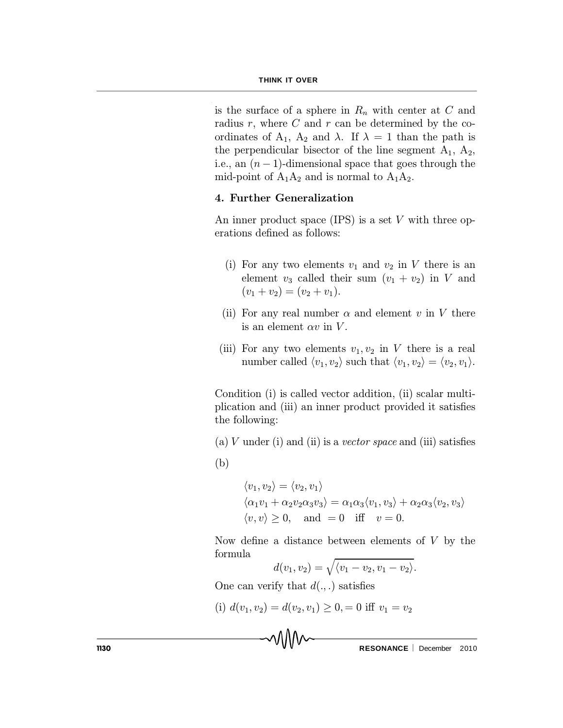is the surface of a sphere in  $R_n$  with center at  $C$  and radius  $r$ , where  $C$  and  $r$  can be determined by the coordinates of  $A_1$ ,  $A_2$  and  $\lambda$ . If  $\lambda = 1$  than the path is the perpendicular bisector of the line segment  $A_1$ ,  $A_2$ , i.e., an  $(n-1)$ -dimensional space that goes through the mid-point of  $A_1A_2$  and is normal to  $A_1A_2$ .

## 4. Further Generalization

An inner product space (IPS) is a set  $V$  with three operations defined as follows:

- (i) For any two elements  $v_1$  and  $v_2$  in V there is an element  $v_3$  called their sum  $(v_1 + v_2)$  in V and  $(v_1 + v_2) = (v_2 + v_1).$
- (ii) For any real number  $\alpha$  and element v in V there is an element  $\alpha v$  in V.
- (iii) For any two elements  $v_1, v_2$  in V there is a real number called  $\langle v_1, v_2 \rangle$  such that  $\langle v_1, v_2 \rangle = \langle v_2, v_1 \rangle$ .

Condition (i) is called vector addition, (ii) scalar multiplication and (iii) an inner product provided it satisfies the following:

- (a) V under (i) and (ii) is a vector space and (iii) satisfies
- (b)

$$
\langle v_1, v_2 \rangle = \langle v_2, v_1 \rangle
$$
  

$$
\langle \alpha_1 v_1 + \alpha_2 v_2 \alpha_3 v_3 \rangle = \alpha_1 \alpha_3 \langle v_1, v_3 \rangle + \alpha_2 \alpha_3 \langle v_2, v_3 \rangle
$$
  

$$
\langle v, v \rangle \ge 0, \text{ and } = 0 \text{ iff } v = 0.
$$

Now define a distance between elements of  $V$  by the formula

$$
d(v_1, v_2) = \sqrt{\langle v_1 - v_2, v_1 - v_2 \rangle}.
$$

One can verify that  $d(.,.)$  satisfies

(i) 
$$
d(v_1, v_2) = d(v_2, v_1) \ge 0, = 0
$$
 iff  $v_1 = v_2$